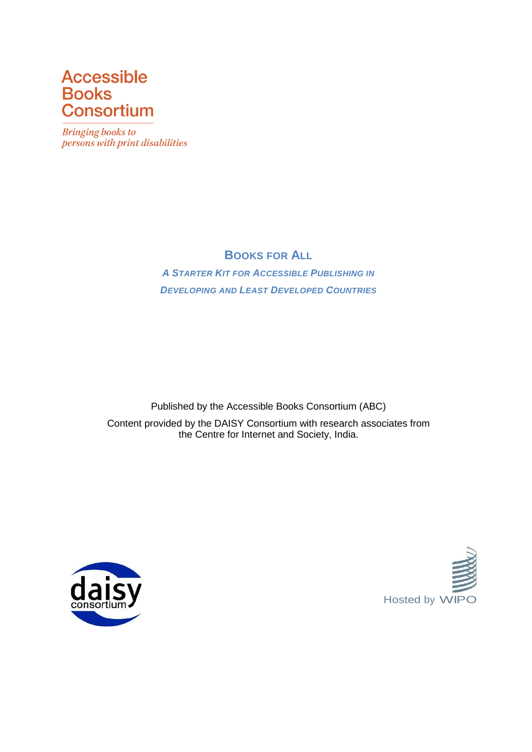# **Accessible Books Consortium**

**Bringing books to** persons with print disabilities

# **BOOKS FOR ALL**

*A STARTER KIT FOR ACCESSIBLE PUBLISHING IN DEVELOPING AND LEAST DEVELOPED COUNTRIES*

Published by the Accessible Books Consortium (ABC) Content provided by the DAISY Consortium with research associates from the Centre for Internet and Society, India.



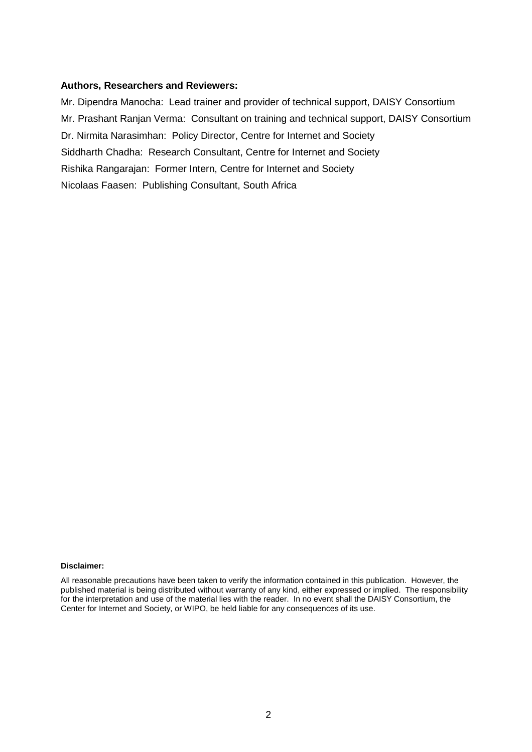#### **Authors, Researchers and Reviewers:**

Mr. Dipendra Manocha: Lead trainer and provider of technical support, DAISY Consortium Mr. Prashant Ranjan Verma: Consultant on training and technical support, DAISY Consortium Dr. Nirmita Narasimhan: Policy Director, Centre for Internet and Society Siddharth Chadha: Research Consultant, Centre for Internet and Society Rishika Rangarajan: Former Intern, Centre for Internet and Society Nicolaas Faasen: Publishing Consultant, South Africa

#### **Disclaimer:**

All reasonable precautions have been taken to verify the information contained in this publication. However, the published material is being distributed without warranty of any kind, either expressed or implied. The responsibility for the interpretation and use of the material lies with the reader. In no event shall the DAISY Consortium, the Center for Internet and Society, or WIPO, be held liable for any consequences of its use.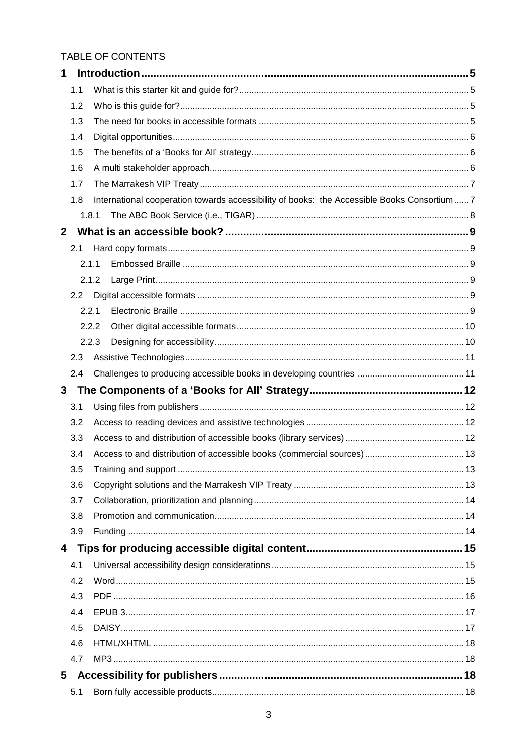## TABLE OF CONTENTS

| 1            |       |                                                                                            |  |  |  |  |
|--------------|-------|--------------------------------------------------------------------------------------------|--|--|--|--|
|              | 1.1   |                                                                                            |  |  |  |  |
|              | 1.2   |                                                                                            |  |  |  |  |
|              | 1.3   |                                                                                            |  |  |  |  |
|              | 1.4   |                                                                                            |  |  |  |  |
|              | 1.5   |                                                                                            |  |  |  |  |
|              | 1.6   |                                                                                            |  |  |  |  |
|              | 1.7   |                                                                                            |  |  |  |  |
|              | 1.8   | International cooperation towards accessibility of books: the Accessible Books Consortium7 |  |  |  |  |
|              | 1.8.1 |                                                                                            |  |  |  |  |
| $\mathbf{2}$ |       |                                                                                            |  |  |  |  |
|              | 2.1   |                                                                                            |  |  |  |  |
|              | 2.1.1 |                                                                                            |  |  |  |  |
|              | 2.1.2 |                                                                                            |  |  |  |  |
|              | 2.2   |                                                                                            |  |  |  |  |
|              | 2.2.1 |                                                                                            |  |  |  |  |
|              | 2.2.2 |                                                                                            |  |  |  |  |
|              | 2.2.3 |                                                                                            |  |  |  |  |
|              | 2.3   |                                                                                            |  |  |  |  |
|              | 2.4   |                                                                                            |  |  |  |  |
| 3            |       |                                                                                            |  |  |  |  |
|              | 3.1   |                                                                                            |  |  |  |  |
|              | 3.2   |                                                                                            |  |  |  |  |
|              | 3.3   |                                                                                            |  |  |  |  |
|              | 3.4   |                                                                                            |  |  |  |  |
|              |       |                                                                                            |  |  |  |  |
|              | 3.5   |                                                                                            |  |  |  |  |
|              | 3.6   |                                                                                            |  |  |  |  |
|              | 3.7   |                                                                                            |  |  |  |  |
|              | 3.8   |                                                                                            |  |  |  |  |
|              | 3.9   |                                                                                            |  |  |  |  |
| 4            |       |                                                                                            |  |  |  |  |
|              | 4.1   |                                                                                            |  |  |  |  |
|              | 4.2   |                                                                                            |  |  |  |  |
|              | 4.3   |                                                                                            |  |  |  |  |
|              | 4.4   |                                                                                            |  |  |  |  |
|              | 4.5   |                                                                                            |  |  |  |  |
|              | 4.6   |                                                                                            |  |  |  |  |
|              | 4.7   |                                                                                            |  |  |  |  |
| 5            |       |                                                                                            |  |  |  |  |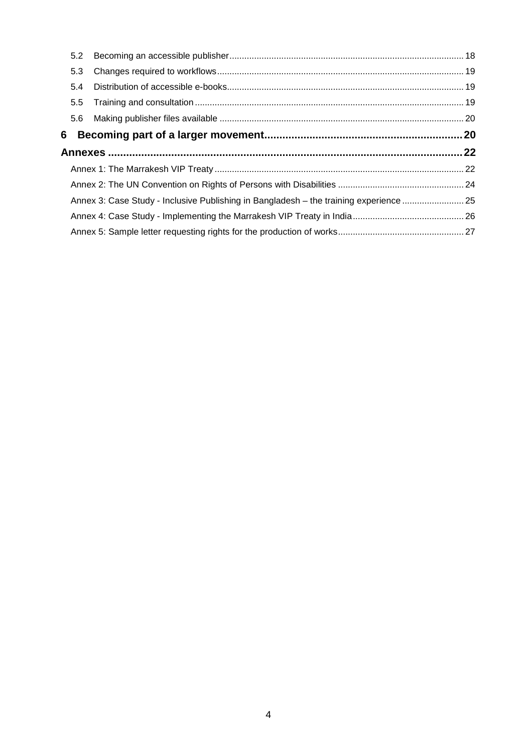| 5.2           |                                                                                        |  |  |  |  |
|---------------|----------------------------------------------------------------------------------------|--|--|--|--|
| 5.3           |                                                                                        |  |  |  |  |
| 5.4           |                                                                                        |  |  |  |  |
| $5.5^{\circ}$ |                                                                                        |  |  |  |  |
| 5.6           |                                                                                        |  |  |  |  |
|               |                                                                                        |  |  |  |  |
|               |                                                                                        |  |  |  |  |
|               |                                                                                        |  |  |  |  |
|               |                                                                                        |  |  |  |  |
|               |                                                                                        |  |  |  |  |
|               | Annex 3: Case Study - Inclusive Publishing in Bangladesh - the training experience  25 |  |  |  |  |
|               |                                                                                        |  |  |  |  |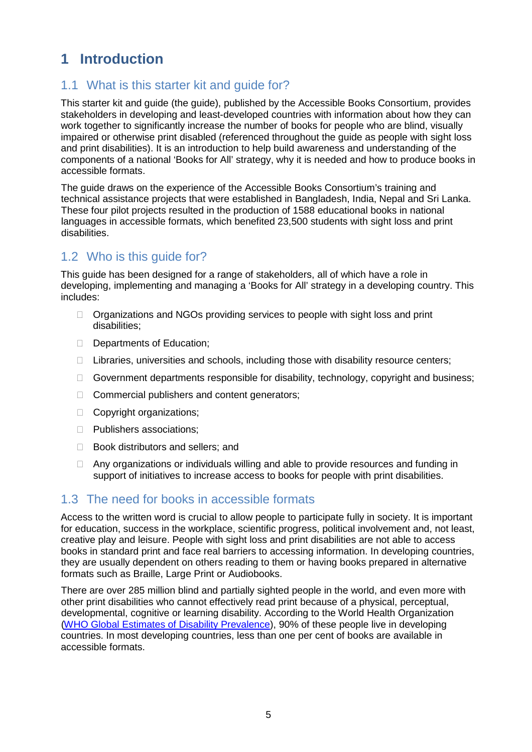# **1 Introduction**

## 1.1 What is this starter kit and guide for?

This starter kit and guide (the guide), published by the Accessible Books Consortium, provides stakeholders in developing and least-developed countries with information about how they can work together to significantly increase the number of books for people who are blind, visually impaired or otherwise print disabled (referenced throughout the guide as people with sight loss and print disabilities). It is an introduction to help build awareness and understanding of the components of a national 'Books for All' strategy, why it is needed and how to produce books in accessible formats.

The guide draws on the experience of the Accessible Books Consortium's training and technical assistance projects that were established in Bangladesh, India, Nepal and Sri Lanka. These four pilot projects resulted in the production of 1588 educational books in national languages in accessible formats, which benefited 23,500 students with sight loss and print disabilities.

# 1.2 Who is this guide for?

This guide has been designed for a range of stakeholders, all of which have a role in developing, implementing and managing a 'Books for All' strategy in a developing country. This includes:

- $\Box$  Organizations and NGOs providing services to people with sight loss and print disabilities;
- Departments of Education;
- $\Box$  Libraries, universities and schools, including those with disability resource centers;
- $\Box$  Government departments responsible for disability, technology, copyright and business;
- □ Commercial publishers and content generators;
- □ Copyright organizations;
- D Publishers associations;
- □ Book distributors and sellers; and
- □ Any organizations or individuals willing and able to provide resources and funding in support of initiatives to increase access to books for people with print disabilities.

#### 1.3 The need for books in accessible formats

Access to the written word is crucial to allow people to participate fully in society. It is important for education, success in the workplace, scientific progress, political involvement and, not least, creative play and leisure. People with sight loss and print disabilities are not able to access books in standard print and face real barriers to accessing information. In developing countries, they are usually dependent on others reading to them or having books prepared in alternative formats such as Braille, Large Print or Audiobooks.

<span id="page-4-0"></span>There are over 285 million blind and partially sighted people in the world, and even more with other print disabilities who cannot effectively read print because of a physical, perceptual, developmental, cognitive or learning disability. According to the World Health Organization (WHO Global Estimates of Disability [Prevalence\)](http://www.who.int/disabilities/world_report/2011/report.pdf), 90% of these people live in developing countries. In most developing countries, less than one per cent of books are available in accessible formats.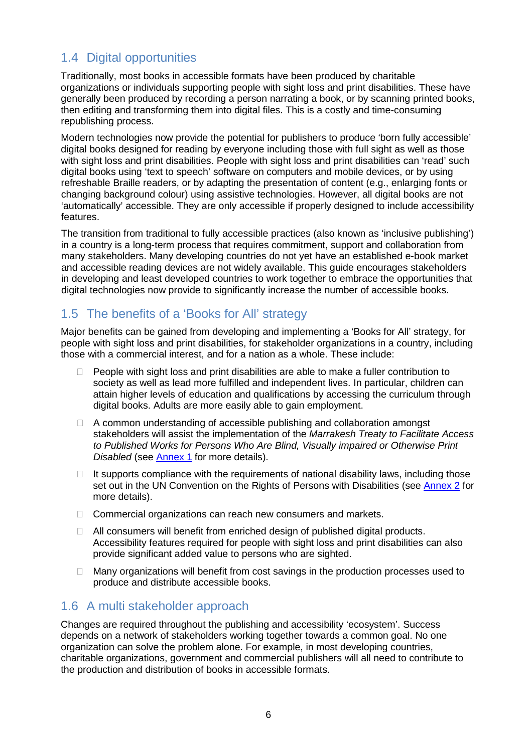# 1.4 Digital opportunities

Traditionally, most books in accessible formats have been produced by charitable organizations or individuals supporting people with sight loss and print disabilities. These have generally been produced by recording a person narrating a book, or by scanning printed books, then editing and transforming them into digital files. This is a costly and time-consuming republishing process.

Modern technologies now provide the potential for publishers to produce 'born fully accessible' digital books designed for reading by everyone including those with full sight as well as those with sight loss and print disabilities. People with sight loss and print disabilities can 'read' such digital books using 'text to speech' software on computers and mobile devices, or by using refreshable Braille readers, or by adapting the presentation of content (e.g., enlarging fonts or changing background colour) using assistive technologies. However, all digital books are not 'automatically' accessible. They are only accessible if properly designed to include accessibility features.

The transition from traditional to fully accessible practices (also known as 'inclusive publishing') in a country is a long-term process that requires commitment, support and collaboration from many stakeholders. Many developing countries do not yet have an established e-book market and accessible reading devices are not widely available. This guide encourages stakeholders in developing and least developed countries to work together to embrace the opportunities that digital technologies now provide to significantly increase the number of accessible books.

## 1.5 The benefits of a 'Books for All' strategy

Major benefits can be gained from developing and implementing a 'Books for All' strategy, for people with sight loss and print disabilities, for stakeholder organizations in a country, including those with a commercial interest, and for a nation as a whole. These include:

- $\Box$  People with sight loss and print disabilities are able to make a fuller contribution to society as well as lead more fulfilled and independent lives. In particular, children can attain higher levels of education and qualifications by accessing the curriculum through digital books. Adults are more easily able to gain employment.
- $\Box$  A common understanding of accessible publishing and collaboration amongst stakeholders will assist the implementation of the *Marrakesh Treaty to Facilitate Access to Published Works for Persons Who Are Blind, Visually impaired or Otherwise Print Disabled* (see [Annex](#page-21-0) 1 for more details).
- $\Box$  It supports compliance with the requirements of national disability laws, including those set out in the UN Convention on the Rights of Persons with Disabilities (see [Annex](#page-23-0) 2 for more details).
- $\Box$  Commercial organizations can reach new consumers and markets.
- $\Box$  All consumers will benefit from enriched design of published digital products. Accessibility features required for people with sight loss and print disabilities can also provide significant added value to persons who are sighted.
- $\Box$  Many organizations will benefit from cost savings in the production processes used to produce and distribute accessible books.

## 1.6 A multi stakeholder approach

Changes are required throughout the publishing and accessibility 'ecosystem'. Success depends on a network of stakeholders working together towards a common goal. No one organization can solve the problem alone. For example, in most developing countries, charitable organizations, government and commercial publishers will all need to contribute to the production and distribution of books in accessible formats.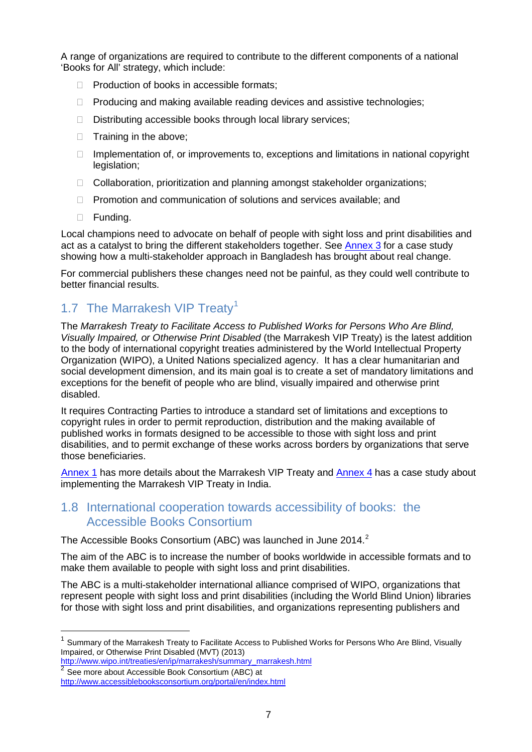A range of organizations are required to contribute to the different components of a national 'Books for All' strategy, which include:

- $\Box$  Production of books in accessible formats:
- $\Box$  Producing and making available reading devices and assistive technologies;
- $\Box$  Distributing accessible books through local library services;
- $\Box$  Training in the above;
- $\Box$  Implementation of, or improvements to, exceptions and limitations in national copyright legislation;
- □ Collaboration, prioritization and planning amongst stakeholder organizations;
- $\Box$  Promotion and communication of solutions and services available; and
- □ Funding.

Local champions need to advocate on behalf of people with sight loss and print disabilities and act as a catalyst to bring the different stakeholders together. See [Annex](#page-24-0) 3 for a case study showing how a multi-stakeholder approach in Bangladesh has brought about real change.

For commercial publishers these changes need not be painful, as they could well contribute to better financial results.

## [1](#page-4-0).7 The Marrakesh VIP Treaty<sup>1</sup>

The *Marrakesh Treaty to Facilitate Access to Published Works for Persons Who Are Blind, Visually Impaired, or Otherwise Print Disabled* (the Marrakesh VIP Treaty) is the latest addition to the body of international copyright treaties administered by the World Intellectual Property Organization (WIPO), a United Nations specialized agency. It has a clear humanitarian and social development dimension, and its main goal is to create a set of mandatory limitations and exceptions for the benefit of people who are blind, visually impaired and otherwise print disabled.

It requires Contracting Parties to introduce a standard set of limitations and exceptions to copyright rules in order to permit reproduction, distribution and the making available of published works in formats designed to be accessible to those with sight loss and print disabilities, and to permit exchange of these works across borders by organizations that serve those beneficiaries.

[Annex](#page-25-0) 1 has more details about the Marrakesh VIP Treaty and **Annex 4** has a case study about implementing the Marrakesh VIP Treaty in India.

#### 1.8 International cooperation towards accessibility of books: the Accessible Books Consortium

The Accessible Books Consortium (ABC) was launched in June [2](#page-6-0)014.<sup>2</sup>

The aim of the ABC is to increase the number of books worldwide in accessible formats and to make them available to people with sight loss and print disabilities.

The ABC is a multi-stakeholder international alliance comprised of WIPO, organizations that represent people with sight loss and print disabilities (including the World Blind Union) libraries for those with sight loss and print disabilities, and organizations representing publishers and

 $\overline{a}$ 

<sup>1</sup> Summary of the Marrakesh Treaty to Facilitate Access to Published Works for Persons Who Are Blind, Visually Impaired, or Otherwise Print Disabled (MVT) (2013)

<span id="page-6-1"></span>[http://www.wipo.int/treaties/en/ip/marrakesh/summary\\_marrakesh.html](http://www.wipo.int/treaties/en/ip/marrakesh/summary_marrakesh.html)

<span id="page-6-0"></span> $2$  See more about Accessible Book Consortium (ABC) at

<http://www.accessiblebooksconsortium.org/portal/en/index.html>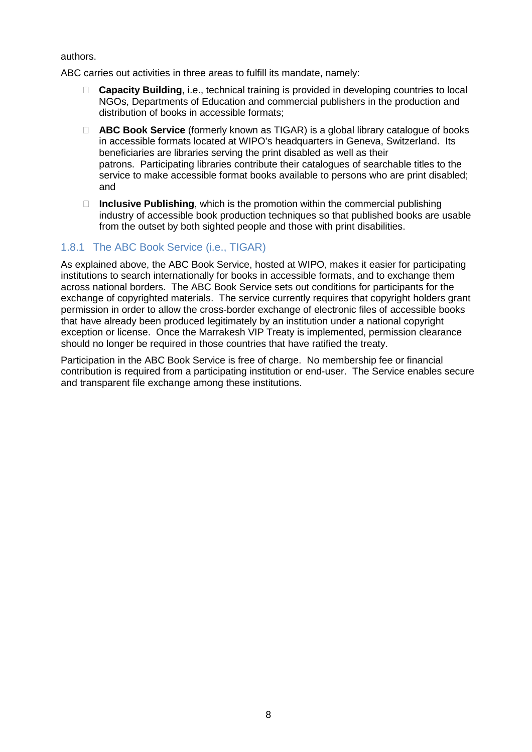authors.

ABC carries out activities in three areas to fulfill its mandate, namely:

- **Capacity Building**, i.e., technical training is provided in developing countries to local NGOs, Departments of Education and commercial publishers in the production and distribution of books in accessible formats;
- **ABC Book Service** (formerly known as TIGAR) is a global library catalogue of books in accessible formats located at WIPO's headquarters in Geneva, Switzerland. Its beneficiaries are libraries serving the print disabled as well as their patrons. Participating libraries contribute their catalogues of searchable titles to the service to make accessible format books available to persons who are print disabled; and
- **Inclusive Publishing**, which is the promotion within the commercial publishing industry of accessible book production techniques so that published books are usable from the outset by both sighted people and those with print disabilities.

#### 1.8.1 The ABC Book Service (i.e., TIGAR)

As explained above, the ABC Book Service, hosted at WIPO, makes it easier for participating institutions to search internationally for books in accessible formats, and to exchange them across national borders. The ABC Book Service sets out conditions for participants for the exchange of copyrighted materials. The service currently requires that copyright holders grant permission in order to allow the cross-border exchange of electronic files of accessible books that have already been produced legitimately by an institution under a national copyright exception or license. Once the Marrakesh VIP Treaty is implemented, permission clearance should no longer be required in those countries that have ratified the treaty.

Participation in the ABC Book Service is free of charge. No membership fee or financial contribution is required from a participating institution or end-user. The Service enables secure and transparent file exchange among these institutions.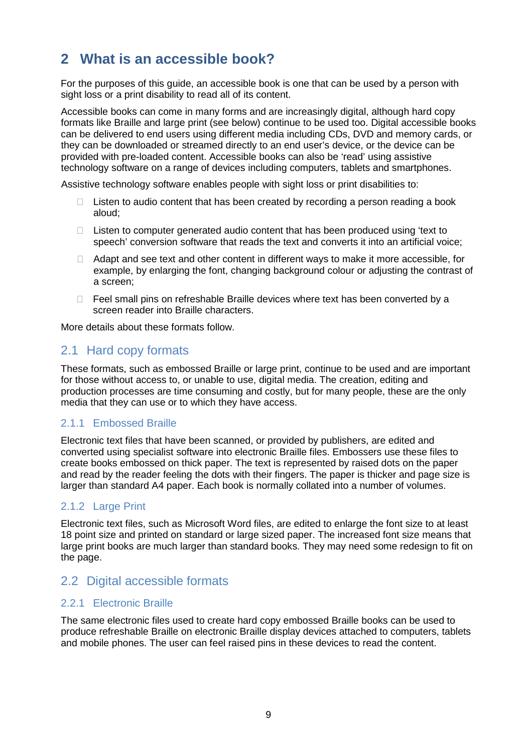# **2 What is an accessible book?**

For the purposes of this guide, an accessible book is one that can be used by a person with sight loss or a print disability to read all of its content.

Accessible books can come in many forms and are increasingly digital, although hard copy formats like Braille and large print (see below) continue to be used too. Digital accessible books can be delivered to end users using different media including CDs, DVD and memory cards, or they can be downloaded or streamed directly to an end user's device, or the device can be provided with pre-loaded content. Accessible books can also be 'read' using assistive technology software on a range of devices including computers, tablets and smartphones.

Assistive technology software enables people with sight loss or print disabilities to:

- $\Box$  Listen to audio content that has been created by recording a person reading a book aloud;
- $\Box$  Listen to computer generated audio content that has been produced using 'text to speech' conversion software that reads the text and converts it into an artificial voice;
- $\Box$  Adapt and see text and other content in different ways to make it more accessible, for example, by enlarging the font, changing background colour or adjusting the contrast of a screen;
- $\Box$  Feel small pins on refreshable Braille devices where text has been converted by a screen reader into Braille characters.

More details about these formats follow.

### 2.1 Hard copy formats

These formats, such as embossed Braille or large print, continue to be used and are important for those without access to, or unable to use, digital media. The creation, editing and production processes are time consuming and costly, but for many people, these are the only media that they can use or to which they have access.

#### 2.1.1 Embossed Braille

Electronic text files that have been scanned, or provided by publishers, are edited and converted using specialist software into electronic Braille files. Embossers use these files to create books embossed on thick paper. The text is represented by raised dots on the paper and read by the reader feeling the dots with their fingers. The paper is thicker and page size is larger than standard A4 paper. Each book is normally collated into a number of volumes.

#### 2.1.2 Large Print

Electronic text files, such as Microsoft Word files, are edited to enlarge the font size to at least 18 point size and printed on standard or large sized paper. The increased font size means that large print books are much larger than standard books. They may need some redesign to fit on the page.

### 2.2 Digital accessible formats

#### 2.2.1 Electronic Braille

The same electronic files used to create hard copy embossed Braille books can be used to produce refreshable Braille on electronic Braille display devices attached to computers, tablets and mobile phones. The user can feel raised pins in these devices to read the content.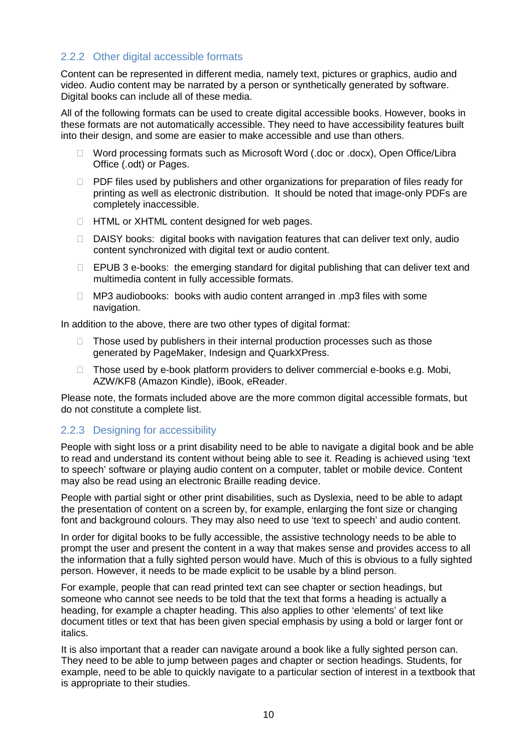#### 2.2.2 Other digital accessible formats

Content can be represented in different media, namely text, pictures or graphics, audio and video. Audio content may be narrated by a person or synthetically generated by software. Digital books can include all of these media.

All of the following formats can be used to create digital accessible books. However, books in these formats are not automatically accessible. They need to have accessibility features built into their design, and some are easier to make accessible and use than others.

- □ Word processing formats such as Microsoft Word (.doc or .docx), Open Office/Libra Office (.odt) or Pages.
- $\Box$  PDF files used by publishers and other organizations for preparation of files ready for printing as well as electronic distribution. It should be noted that image-only PDFs are completely inaccessible.
- □ HTML or XHTML content designed for web pages.
- $\Box$  DAISY books: digital books with navigation features that can deliver text only, audio content synchronized with digital text or audio content.
- $\Box$  EPUB 3 e-books: the emerging standard for digital publishing that can deliver text and multimedia content in fully accessible formats.
- $\Box$  MP3 audiobooks: books with audio content arranged in .mp3 files with some navigation.

In addition to the above, there are two other types of digital format:

- $\Box$  Those used by publishers in their internal production processes such as those generated by PageMaker, Indesign and QuarkXPress.
- $\Box$  Those used by e-book platform providers to deliver commercial e-books e.g. Mobi, AZW/KF8 (Amazon Kindle), iBook, eReader.

Please note, the formats included above are the more common digital accessible formats, but do not constitute a complete list.

#### 2.2.3 Designing for accessibility

People with sight loss or a print disability need to be able to navigate a digital book and be able to read and understand its content without being able to see it. Reading is achieved using 'text to speech' software or playing audio content on a computer, tablet or mobile device. Content may also be read using an electronic Braille reading device.

People with partial sight or other print disabilities, such as Dyslexia, need to be able to adapt the presentation of content on a screen by, for example, enlarging the font size or changing font and background colours. They may also need to use 'text to speech' and audio content.

In order for digital books to be fully accessible, the assistive technology needs to be able to prompt the user and present the content in a way that makes sense and provides access to all the information that a fully sighted person would have. Much of this is obvious to a fully sighted person. However, it needs to be made explicit to be usable by a blind person.

For example, people that can read printed text can see chapter or section headings, but someone who cannot see needs to be told that the text that forms a heading is actually a heading, for example a chapter heading. This also applies to other 'elements' of text like document titles or text that has been given special emphasis by using a bold or larger font or italics.

It is also important that a reader can navigate around a book like a fully sighted person can. They need to be able to jump between pages and chapter or section headings. Students, for example, need to be able to quickly navigate to a particular section of interest in a textbook that is appropriate to their studies.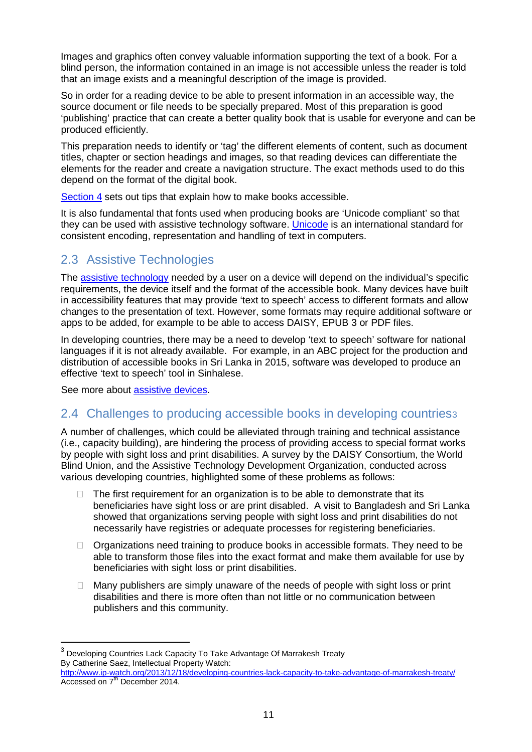Images and graphics often convey valuable information supporting the text of a book. For a blind person, the information contained in an image is not accessible unless the reader is told that an image exists and a meaningful description of the image is provided.

So in order for a reading device to be able to present information in an accessible way, the source document or file needs to be specially prepared. Most of this preparation is good 'publishing' practice that can create a better quality book that is usable for everyone and can be produced efficiently.

This preparation needs to identify or 'tag' the different elements of content, such as document titles, chapter or section headings and images, so that reading devices can differentiate the elements for the reader and create a navigation structure. The exact methods used to do this depend on the format of the digital book.

[Section](#page-14-0) 4 sets out tips that explain how to make books accessible.

It is also fundamental that fonts used when producing books are 'Unicode compliant' so that they can be used with assistive technology software. [Unicode](http://unicode.org/standard/WhatIsUnicode.html) is an international standard for consistent encoding, representation and handling of text in computers.

## 2.3 Assistive Technologies

The assistive [technology](http://www.atia.org/i4a/pages/index.cfm?pageID=3681) needed by a user on a device will depend on the individual's specific requirements, the device itself and the format of the accessible book. Many devices have built in accessibility features that may provide 'text to speech' access to different formats and allow changes to the presentation of text. However, some formats may require additional software or apps to be added, for example to be able to access DAISY, EPUB 3 or PDF files.

In developing countries, there may be a need to develop 'text to speech' software for national languages if it is not already available. For example, in an ABC project for the production and distribution of accessible books in Sri Lanka in 2015, software was developed to produce an effective 'text to speech' tool in Sinhalese.

See more about [assistive](http://webaim.org/articles/visual/blind) devices.

 $\overline{a}$ 

## 2.4 Challenges to producing accessible books in developing countriess

A number of challenges, which could be alleviated through training and technical assistance (i.e., capacity building), are hindering the process of providing access to special format works by people with sight loss and print disabilities. A survey by the DAISY Consortium, the World Blind Union, and the Assistive Technology Development Organization, conducted across various developing countries, highlighted some of these problems as follows:

- The first requirement for an organization is to be able to demonstrate that its beneficiaries have sight loss or are print disabled. A visit to Bangladesh and Sri Lanka showed that organizations serving people with sight loss and print disabilities do not necessarily have registries or adequate processes for registering beneficiaries.
- $\Box$  Organizations need training to produce books in accessible formats. They need to be able to transform those files into the exact format and make them available for use by beneficiaries with sight loss or print disabilities.
- $\Box$  Many publishers are simply unaware of the needs of people with sight loss or print disabilities and there is more often than not little or no communication between publishers and this community.

<span id="page-10-0"></span> $3$  Developing Countries Lack Capacity To Take Advantage Of Marrakesh Treaty By Catherine Saez, Intellectual Property Watch:

<http://www.ip-watch.org/2013/12/18/developing-countries-lack-capacity-to-take-advantage-of-marrakesh-treaty/> Accessed on 7<sup>th</sup> December 2014.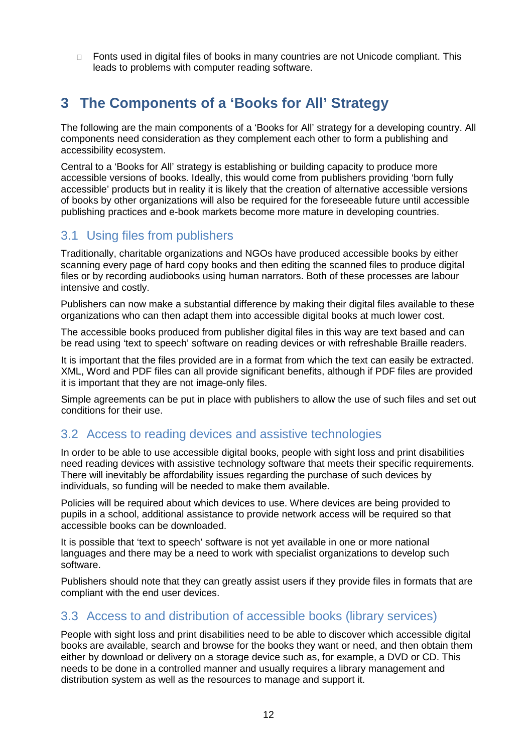□ Fonts used in digital files of books in many countries are not Unicode compliant. This leads to problems with computer reading software.

# **3 The Components of a 'Books for All' Strategy**

The following are the main components of a 'Books for All' strategy for a developing country. All components need consideration as they complement each other to form a publishing and accessibility ecosystem.

Central to a 'Books for All' strategy is establishing or building capacity to produce more accessible versions of books. Ideally, this would come from publishers providing 'born fully accessible' products but in reality it is likely that the creation of alternative accessible versions of books by other organizations will also be required for the foreseeable future until accessible publishing practices and e-book markets become more mature in developing countries.

### 3.1 Using files from publishers

Traditionally, charitable organizations and NGOs have produced accessible books by either scanning every page of hard copy books and then editing the scanned files to produce digital files or by recording audiobooks using human narrators. Both of these processes are labour intensive and costly.

Publishers can now make a substantial difference by making their digital files available to these organizations who can then adapt them into accessible digital books at much lower cost.

The accessible books produced from publisher digital files in this way are text based and can be read using 'text to speech' software on reading devices or with refreshable Braille readers.

It is important that the files provided are in a format from which the text can easily be extracted. XML, Word and PDF files can all provide significant benefits, although if PDF files are provided it is important that they are not image-only files.

Simple agreements can be put in place with publishers to allow the use of such files and set out conditions for their use.

## 3.2 Access to reading devices and assistive technologies

In order to be able to use accessible digital books, people with sight loss and print disabilities need reading devices with assistive technology software that meets their specific requirements. There will inevitably be affordability issues regarding the purchase of such devices by individuals, so funding will be needed to make them available.

Policies will be required about which devices to use. Where devices are being provided to pupils in a school, additional assistance to provide network access will be required so that accessible books can be downloaded.

It is possible that 'text to speech' software is not yet available in one or more national languages and there may be a need to work with specialist organizations to develop such software.

Publishers should note that they can greatly assist users if they provide files in formats that are compliant with the end user devices.

### 3.3 Access to and distribution of accessible books (library services)

People with sight loss and print disabilities need to be able to discover which accessible digital books are available, search and browse for the books they want or need, and then obtain them either by download or delivery on a storage device such as, for example, a DVD or CD. This needs to be done in a controlled manner and usually requires a library management and distribution system as well as the resources to manage and support it.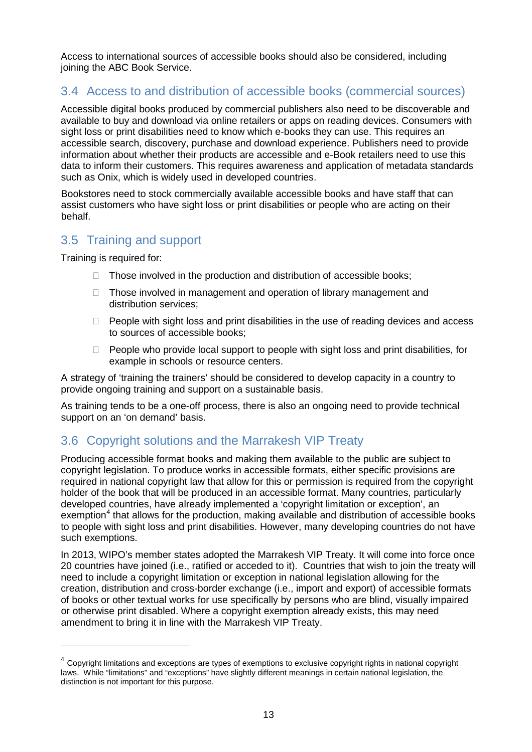Access to international sources of accessible books should also be considered, including joining the ABC Book Service.

## 3.4 Access to and distribution of accessible books (commercial sources)

Accessible digital books produced by commercial publishers also need to be discoverable and available to buy and download via online retailers or apps on reading devices. Consumers with sight loss or print disabilities need to know which e-books they can use. This requires an accessible search, discovery, purchase and download experience. Publishers need to provide information about whether their products are accessible and e-Book retailers need to use this data to inform their customers. This requires awareness and application of metadata standards such as Onix, which is widely used in developed countries.

Bookstores need to stock commercially available accessible books and have staff that can assist customers who have sight loss or print disabilities or people who are acting on their behalf.

## 3.5 Training and support

Training is required for:

 $\overline{a}$ 

- $\Box$  Those involved in the production and distribution of accessible books;
- $\Box$  Those involved in management and operation of library management and distribution services;
- $\Box$  People with sight loss and print disabilities in the use of reading devices and access to sources of accessible books;
- $\Box$  People who provide local support to people with sight loss and print disabilities, for example in schools or resource centers.

A strategy of 'training the trainers' should be considered to develop capacity in a country to provide ongoing training and support on a sustainable basis.

As training tends to be a one-off process, there is also an ongoing need to provide technical support on an 'on demand' basis.

## 3.6 Copyright solutions and the Marrakesh VIP Treaty

Producing accessible format books and making them available to the public are subject to copyright legislation. To produce works in accessible formats, either specific provisions are required in national copyright law that allow for this or permission is required from the copyright holder of the book that will be produced in an accessible format. Many countries, particularly developed countries, have already implemented a 'copyright limitation or exception', an exemption<sup>[4](#page-10-0)</sup> that allows for the production, making available and distribution of accessible books to people with sight loss and print disabilities. However, many developing countries do not have such exemptions.

In 2013, WIPO's member states adopted the Marrakesh VIP Treaty. It will come into force once 20 countries have joined (i.e., ratified or acceded to it). Countries that wish to join the treaty will need to include a copyright limitation or exception in national legislation allowing for the creation, distribution and cross-border exchange (i.e., import and export) of accessible formats of books or other textual works for use specifically by persons who are blind, visually impaired or otherwise print disabled. Where a copyright exemption already exists, this may need amendment to bring it in line with the Marrakesh VIP Treaty.

<span id="page-12-0"></span> $4$  Copyright limitations and exceptions are types of exemptions to exclusive copyright rights in national copyright laws. While "limitations" and "exceptions" have slightly different meanings in certain national legislation, the distinction is not important for this purpose.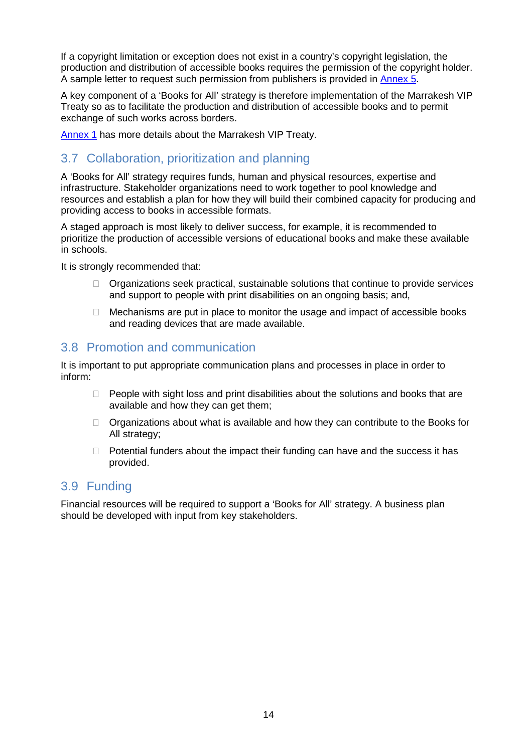If a copyright limitation or exception does not exist in a country's copyright legislation, the production and distribution of accessible books requires the permission of the copyright holder. A sample letter to request such permission from publishers is provided in [Annex](#page-26-0) 5.

A key component of a 'Books for All' strategy is therefore implementation of the Marrakesh VIP Treaty so as to facilitate the production and distribution of accessible books and to permit exchange of such works across borders.

[Annex](#page-21-0) 1 has more details about the Marrakesh VIP Treaty.

## 3.7 Collaboration, prioritization and planning

A 'Books for All' strategy requires funds, human and physical resources, expertise and infrastructure. Stakeholder organizations need to work together to pool knowledge and resources and establish a plan for how they will build their combined capacity for producing and providing access to books in accessible formats.

A staged approach is most likely to deliver success, for example, it is recommended to prioritize the production of accessible versions of educational books and make these available in schools.

It is strongly recommended that:

- $\Box$  Organizations seek practical, sustainable solutions that continue to provide services and support to people with print disabilities on an ongoing basis; and,
- $\Box$  Mechanisms are put in place to monitor the usage and impact of accessible books and reading devices that are made available.

### 3.8 Promotion and communication

It is important to put appropriate communication plans and processes in place in order to inform:

- $\Box$  People with sight loss and print disabilities about the solutions and books that are available and how they can get them;
- $\Box$  Organizations about what is available and how they can contribute to the Books for All strategy;
- $\Box$  Potential funders about the impact their funding can have and the success it has provided.

### 3.9 Funding

Financial resources will be required to support a 'Books for All' strategy. A business plan should be developed with input from key stakeholders.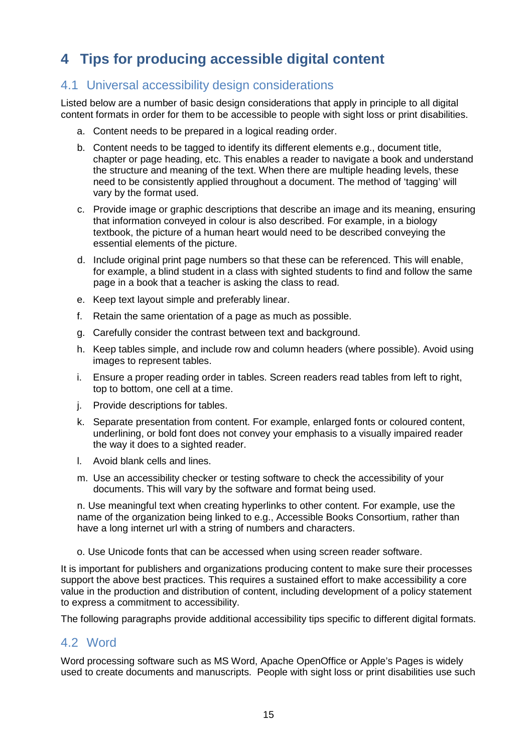# <span id="page-14-0"></span>**4 Tips for producing accessible digital content**

### 4.1 Universal accessibility design considerations

Listed below are a number of basic design considerations that apply in principle to all digital content formats in order for them to be accessible to people with sight loss or print disabilities.

- a. Content needs to be prepared in a logical reading order.
- b. Content needs to be tagged to identify its different elements e.g., document title, chapter or page heading, etc. This enables a reader to navigate a book and understand the structure and meaning of the text. When there are multiple heading levels, these need to be consistently applied throughout a document. The method of 'tagging' will vary by the format used.
- c. Provide image or graphic descriptions that describe an image and its meaning, ensuring that information conveyed in colour is also described. For example, in a biology textbook, the picture of a human heart would need to be described conveying the essential elements of the picture.
- d. Include original print page numbers so that these can be referenced. This will enable, for example, a blind student in a class with sighted students to find and follow the same page in a book that a teacher is asking the class to read.
- e. Keep text layout simple and preferably linear.
- f. Retain the same orientation of a page as much as possible.
- g. Carefully consider the contrast between text and background.
- h. Keep tables simple, and include row and column headers (where possible). Avoid using images to represent tables.
- i. Ensure a proper reading order in tables. Screen readers read tables from left to right, top to bottom, one cell at a time.
- j. Provide descriptions for tables.
- k. Separate presentation from content. For example, enlarged fonts or coloured content, underlining, or bold font does not convey your emphasis to a visually impaired reader the way it does to a sighted reader.
- l. Avoid blank cells and lines.
- m. Use an accessibility checker or testing software to check the accessibility of your documents. This will vary by the software and format being used.

n. Use meaningful text when creating hyperlinks to other content. For example, use the name of the organization being linked to e.g., Accessible Books Consortium, rather than have a long internet url with a string of numbers and characters.

o. Use Unicode fonts that can be accessed when using screen reader software.

It is important for publishers and organizations producing content to make sure their processes support the above best practices. This requires a sustained effort to make accessibility a core value in the production and distribution of content, including development of a policy statement to express a commitment to accessibility.

The following paragraphs provide additional accessibility tips specific to different digital formats.

### 4.2 Word

Word processing software such as MS Word, Apache OpenOffice or Apple's Pages is widely used to create documents and manuscripts. People with sight loss or print disabilities use such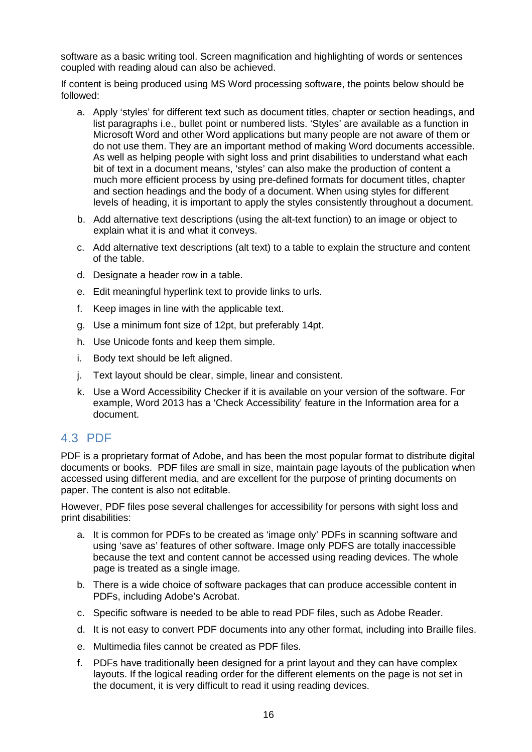software as a basic writing tool. Screen magnification and highlighting of words or sentences coupled with reading aloud can also be achieved.

If content is being produced using MS Word processing software, the points below should be followed:

- a. Apply 'styles' for different text such as document titles, chapter or section headings, and list paragraphs i.e., bullet point or numbered lists. 'Styles' are available as a function in Microsoft Word and other Word applications but many people are not aware of them or do not use them. They are an important method of making Word documents accessible. As well as helping people with sight loss and print disabilities to understand what each bit of text in a document means, 'styles' can also make the production of content a much more efficient process by using pre-defined formats for document titles, chapter and section headings and the body of a document. When using styles for different levels of heading, it is important to apply the styles consistently throughout a document.
- b. Add alternative text descriptions (using the alt-text function) to an image or object to explain what it is and what it conveys.
- c. Add alternative text descriptions (alt text) to a table to explain the structure and content of the table.
- d. Designate a header row in a table.
- e. Edit meaningful hyperlink text to provide links to urls.
- f. Keep images in line with the applicable text.
- g. Use a minimum font size of 12pt, but preferably 14pt.
- h. Use Unicode fonts and keep them simple.
- i. Body text should be left aligned.
- j. Text layout should be clear, simple, linear and consistent.
- k. Use a Word Accessibility Checker if it is available on your version of the software. For example, Word 2013 has a 'Check Accessibility' feature in the Information area for a document.

### 4.3 PDF

PDF is a proprietary format of Adobe, and has been the most popular format to distribute digital documents or books. PDF files are small in size, maintain page layouts of the publication when accessed using different media, and are excellent for the purpose of printing documents on paper. The content is also not editable.

However, PDF files pose several challenges for accessibility for persons with sight loss and print disabilities:

- a. It is common for PDFs to be created as 'image only' PDFs in scanning software and using 'save as' features of other software. Image only PDFS are totally inaccessible because the text and content cannot be accessed using reading devices. The whole page is treated as a single image.
- b. There is a wide choice of software packages that can produce accessible content in PDFs, including Adobe's Acrobat.
- c. Specific software is needed to be able to read PDF files, such as Adobe Reader.
- d. It is not easy to convert PDF documents into any other format, including into Braille files.
- e. Multimedia files cannot be created as PDF files.
- f. PDFs have traditionally been designed for a print layout and they can have complex layouts. If the logical reading order for the different elements on the page is not set in the document, it is very difficult to read it using reading devices.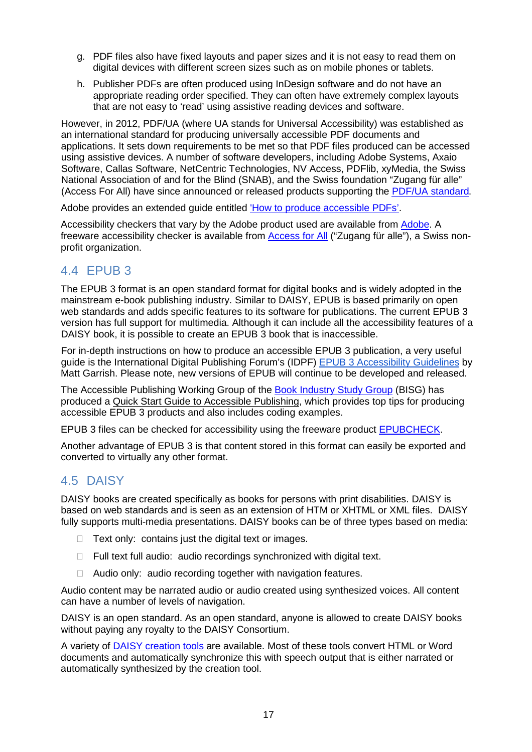- g. PDF files also have fixed layouts and paper sizes and it is not easy to read them on digital devices with different screen sizes such as on mobile phones or tablets.
- h. Publisher PDFs are often produced using InDesign software and do not have an appropriate reading order specified. They can often have extremely complex layouts that are not easy to 'read' using assistive reading devices and software.

However, in 2012, PDF/UA (where UA stands for Universal Accessibility) was established as an international standard for producing universally accessible PDF documents and applications. It sets down requirements to be met so that PDF files produced can be accessed using assistive devices. A number of software developers, including Adobe Systems, Axaio Software, Callas Software, NetCentric Technologies, NV Access, PDFlib, xyMedia, the Swiss National Association of and for the Blind (SNAB), and the Swiss foundation "Zugang für alle" (Access For All) have since announced or released products supporting the PDF/UA [standard.](http://www.pdfa.org/2013/06/pdfua-in-a-nutshell/)

Adobe provides an extended guide entitled 'How to produce [accessible](https://www.adobe.com/enterprise/accessibility/pdfs/acro6_pg_ue.pdf) PDFs'.

Accessibility checkers that vary by the Adobe product used are available from [Adobe.](http://www.adobe.com/) A freeware accessibility checker is available from [Access](http://www.access-for-all.ch/en/pdf-lab/pdf-accessibility-checker-pac/downloading-pac.html) for All ("Zugang für alle"), a Swiss nonprofit organization.

### 4.4 EPUB 3

The EPUB 3 format is an open standard format for digital books and is widely adopted in the mainstream e-book publishing industry. Similar to DAISY, EPUB is based primarily on open web standards and adds specific features to its software for publications. The current EPUB 3 version has full support for multimedia. Although it can include all the accessibility features of a DAISY book, it is possible to create an EPUB 3 book that is inaccessible.

For in-depth instructions on how to produce an accessible EPUB 3 publication, a very useful guide is the International Digital Publishing Forum's (IDPF) EPUB 3 [Accessibility](http://www.idpf.org/accessibility/guidelines/) Guidelines by Matt Garrish. Please note, new versions of EPUB will continue to be developed and released.

The Accessible Publishing Working Group of the Book [Industry](http://www.bisg.org/) Study Group (BISG) has produced a Quick Start Guide to Accessible [Publishing,](https://www.bisg.org/publications/bisg-quick-start-guide-accessible-publishing) which provides top tips for producing accessible EPUB 3 products and also includes coding examples.

EPUB 3 files can be checked for accessibility using the freeware product [EPUBCHECK.](https://github.com/IDPF/epubcheck)

Another advantage of EPUB 3 is that content stored in this format can easily be exported and converted to virtually any other format.

## 4.5 DAISY

DAISY books are created specifically as books for persons with print disabilities. DAISY is based on web standards and is seen as an extension of HTM or XHTML or XML files. DAISY fully supports multi-media presentations. DAISY books can be of three types based on media:

- $\Box$  Text only: contains just the digital text or images.
- $\Box$  Full text full audio: audio recordings synchronized with digital text.
- $\Box$  Audio only: audio recording together with navigation features.

Audio content may be narrated audio or audio created using synthesized voices. All content can have a number of levels of navigation.

DAISY is an open standard. As an open standard, anyone is allowed to create DAISY books without paying any royalty to the DAISY Consortium.

A variety of DAISY [creation](http://www.daisy.org/daisypedia/tools-creating-epub-3) tools are available. Most of these tools convert HTML or Word documents and automatically synchronize this with speech output that is either narrated or automatically synthesized by the creation tool.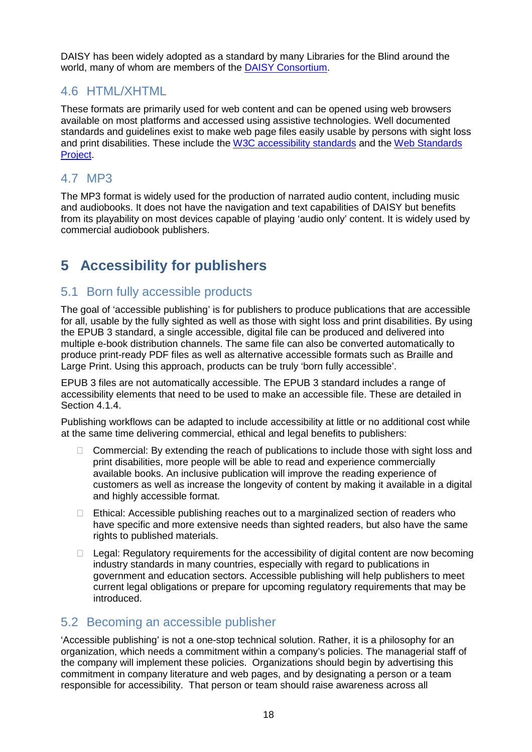DAISY has been widely adopted as a standard by many Libraries for the Blind around the world, many of whom are members of the DAISY [Consortium.](http://www.daisy.org/)

## 4.6 HTML/XHTML

These formats are primarily used for web content and can be opened using web browsers available on most platforms and accessed using assistive technologies. Well documented standards and guidelines exist to make web page files easily usable by persons with sight loss and print disabilities. These include the W3C [accessibility](http://www.w3.org/standards/webdesign/accessibility) standards and the Web [Standards](http://www.webstandards.org/learn/tutorials/accessible-forms/beginner/) [Project.](http://www.webstandards.org/learn/tutorials/accessible-forms/beginner/)

## 4.7 MP3

The MP3 format is widely used for the production of narrated audio content, including music and audiobooks. It does not have the navigation and text capabilities of DAISY but benefits from its playability on most devices capable of playing 'audio only' content. It is widely used by commercial audiobook publishers.

# **5 Accessibility for publishers**

### 5.1 Born fully accessible products

The goal of 'accessible publishing' is for publishers to produce publications that are accessible for all, usable by the fully sighted as well as those with sight loss and print disabilities. By using the EPUB 3 standard, a single accessible, digital file can be produced and delivered into multiple e-book distribution channels. The same file can also be converted automatically to produce print-ready PDF files as well as alternative accessible formats such as Braille and Large Print. Using this approach, products can be truly 'born fully accessible'.

EPUB 3 files are not automatically accessible. The EPUB 3 standard includes a range of accessibility elements that need to be used to make an accessible file. These are detailed in Section 4.1.4.

Publishing workflows can be adapted to include accessibility at little or no additional cost while at the same time delivering commercial, ethical and legal benefits to publishers:

- $\Box$  Commercial: By extending the reach of publications to include those with sight loss and print disabilities, more people will be able to read and experience commercially available books. An inclusive publication will improve the reading experience of customers as well as increase the longevity of content by making it available in a digital and highly accessible format.
- $\Box$  Ethical: Accessible publishing reaches out to a marginalized section of readers who have specific and more extensive needs than sighted readers, but also have the same rights to published materials.
- $\Box$  Legal: Regulatory requirements for the accessibility of digital content are now becoming industry standards in many countries, especially with regard to publications in government and education sectors. Accessible publishing will help publishers to meet current legal obligations or prepare for upcoming regulatory requirements that may be introduced.

## 5.2 Becoming an accessible publisher

'Accessible publishing' is not a one-stop technical solution. Rather, it is a philosophy for an organization, which needs a commitment within a company's policies. The managerial staff of the company will implement these policies. Organizations should begin by advertising this commitment in company literature and web pages, and by designating a person or a team responsible for accessibility. That person or team should raise awareness across all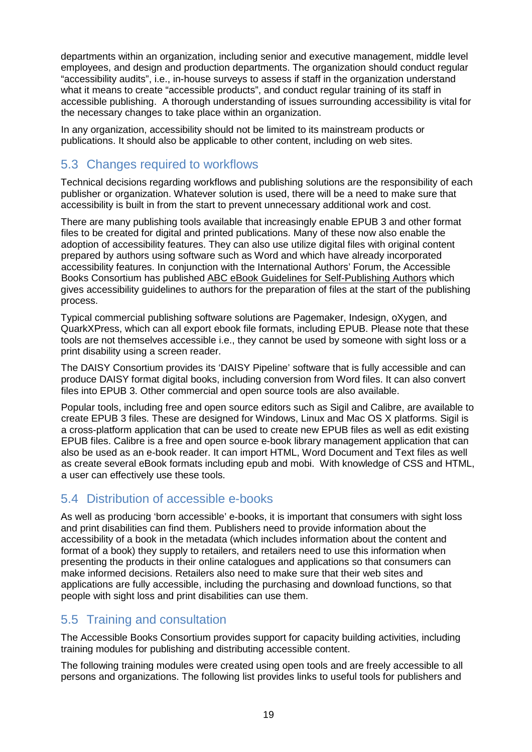departments within an organization, including senior and executive management, middle level employees, and design and production departments. The organization should conduct regular "accessibility audits", i.e., in-house surveys to assess if staff in the organization understand what it means to create "accessible products", and conduct regular training of its staff in accessible publishing. A thorough understanding of issues surrounding accessibility is vital for the necessary changes to take place within an organization.

In any organization, accessibility should not be limited to its mainstream products or publications. It should also be applicable to other content, including on web sites.

# 5.3 Changes required to workflows

Technical decisions regarding workflows and publishing solutions are the responsibility of each publisher or organization. Whatever solution is used, there will be a need to make sure that accessibility is built in from the start to prevent unnecessary additional work and cost.

There are many publishing tools available that increasingly enable EPUB 3 and other format files to be created for digital and printed publications. Many of these now also enable the adoption of accessibility features. They can also use utilize digital files with original content prepared by authors using software such as Word and which have already incorporated accessibility features. In conjunction with the International Authors' Forum, the Accessible Books Consortium has published ABC eBook Guidelines for [Self-Publishing](http://www.accessiblebooksconsortium.org/export/abc/abc_ebook_guidelines_for_self-publishing_authors.pdf) Authors which gives accessibility guidelines to authors for the preparation of files at the start of the publishing process.

Typical commercial publishing software solutions are Pagemaker, Indesign, oXygen, and QuarkXPress, which can all export ebook file formats, including EPUB. Please note that these tools are not themselves accessible i.e., they cannot be used by someone with sight loss or a print disability using a screen reader.

The DAISY Consortium provides its 'DAISY Pipeline' software that is fully accessible and can produce DAISY format digital books, including conversion from Word files. It can also convert files into EPUB 3. Other commercial and open source tools are also available.

Popular tools, including free and open source editors such as Sigil and Calibre, are available to create EPUB 3 files. These are designed for Windows, Linux and Mac OS X platforms. Sigil is a cross-platform application that can be used to create new EPUB files as well as edit existing EPUB files. Calibre is a free and open source e-book library management application that can also be used as an e-book reader. It can import HTML, Word Document and Text files as well as create several eBook formats including epub and mobi. With knowledge of CSS and HTML, a user can effectively use these tools.

### 5.4 Distribution of accessible e-books

As well as producing 'born accessible' e-books, it is important that consumers with sight loss and print disabilities can find them. Publishers need to provide information about the accessibility of a book in the metadata (which includes information about the content and format of a book) they supply to retailers, and retailers need to use this information when presenting the products in their online catalogues and applications so that consumers can make informed decisions. Retailers also need to make sure that their web sites and applications are fully accessible, including the purchasing and download functions, so that people with sight loss and print disabilities can use them.

## 5.5 Training and consultation

The Accessible Books Consortium provides support for capacity building activities, including training modules for publishing and distributing accessible content.

The following training modules were created using open tools and are freely accessible to all persons and organizations. The following list provides links to useful tools for publishers and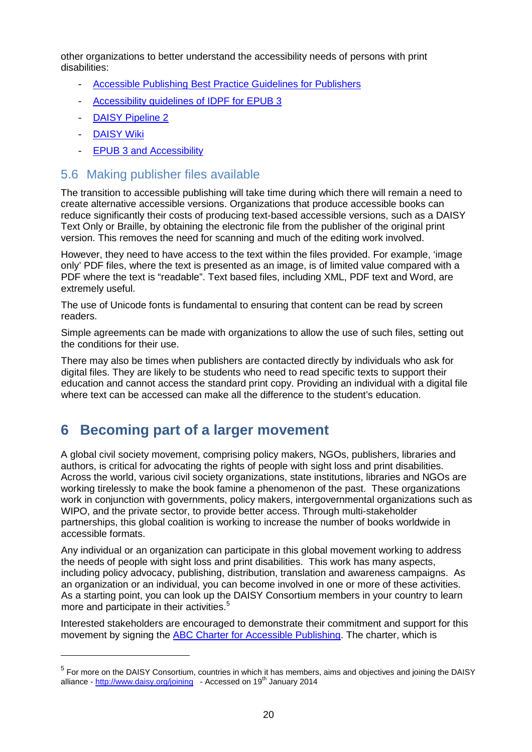other organizations to better understand the accessibility needs of persons with print disabilities:

- [Accessible](http://www.accessiblebooksconsortium.org/inclusive_publishing/en/accessible_best_practice_guidelines_for_publishers.html) Publishing Best Practice Guidelines for Publishers
- [Accessibility](http://www.idpf.org/accessibility/guidelines/) guidelines of IDPF for EPUB 3
- DAISY [Pipeline](http://www.daisy.org/pipeline2) 2
- **[DAISY](http://www.daisy.org/welcome-daisypedia) Wiki**

 $\overline{a}$ 

EPUB 3 and [Accessibility](http://accessiblepractice.org/v/xerte/play_399)

#### 5.6 Making publisher files available

The transition to accessible publishing will take time during which there will remain a need to create alternative accessible versions. Organizations that produce accessible books can reduce significantly their costs of producing text-based accessible versions, such as a DAISY Text Only or Braille, by obtaining the electronic file from the publisher of the original print version. This removes the need for scanning and much of the editing work involved.

However, they need to have access to the text within the files provided. For example, 'image only' PDF files, where the text is presented as an image, is of limited value compared with a PDF where the text is "readable". Text based files, including XML, PDF text and Word, are extremely useful.

The use of Unicode fonts is fundamental to ensuring that content can be read by screen readers.

Simple agreements can be made with organizations to allow the use of such files, setting out the conditions for their use.

There may also be times when publishers are contacted directly by individuals who ask for digital files. They are likely to be students who need to read specific texts to support their education and cannot access the standard print copy. Providing an individual with a digital file where text can be accessed can make all the difference to the student's education.

# **6 Becoming part of a larger movement**

A global civil society movement, comprising policy makers, NGOs, publishers, libraries and authors, is critical for advocating the rights of people with sight loss and print disabilities. Across the world, various civil society organizations, state institutions, libraries and NGOs are working tirelessly to make the book famine a phenomenon of the past. These organizations work in conjunction with governments, policy makers, intergovernmental organizations such as WIPO, and the private sector, to provide better access. Through multi-stakeholder partnerships, this global coalition is working to increase the number of books worldwide in accessible formats.

Any individual or an organization can participate in this global movement working to address the needs of people with sight loss and print disabilities. This work has many aspects, including policy advocacy, publishing, distribution, translation and awareness campaigns. As an organization or an individual, you can become involved in one or more of these activities. As a starting point, you can look up the DAISY Consortium members in your country to learn more and participate in their activities.<sup>[5](#page-12-0)</sup>

Interested stakeholders are encouraged to demonstrate their commitment and support for this movement by signing the ABC Charter for Accessible [Publishing.](http://www.accessiblebooksconsortium.org/portal/en/charter.html) The charter, which is

<span id="page-19-0"></span><sup>5</sup> For more on the DAISY Consortium, countries in which it has members, aims and objectives and joining the DAISY alliance - <http://www.daisy.org/joining>- Accessed on 19<sup>th</sup> January 2014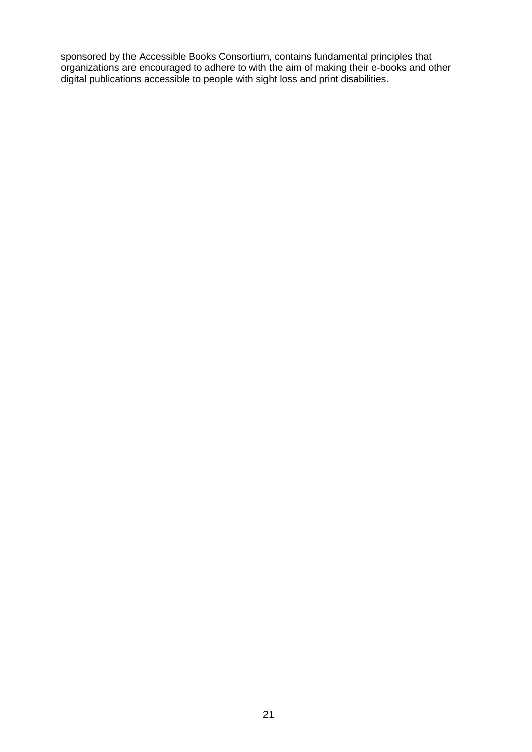sponsored by the Accessible Books Consortium, contains fundamental principles that organizations are encouraged to adhere to with the aim of making their e-books and other digital publications accessible to people with sight loss and print disabilities.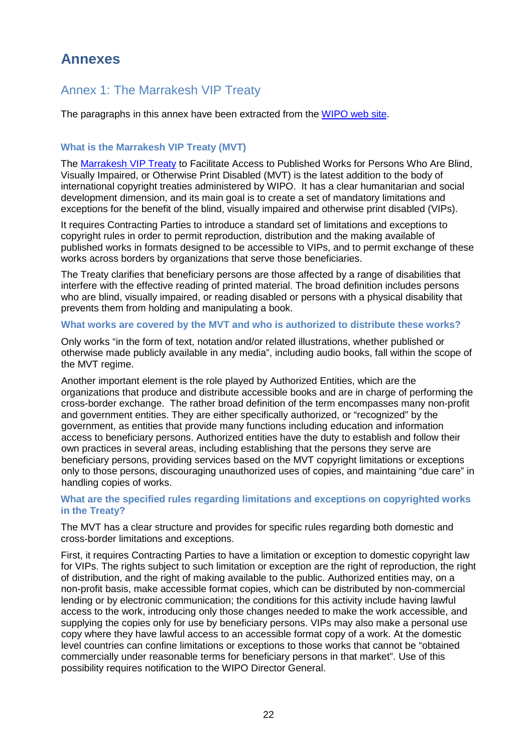# **Annexes**

## <span id="page-21-0"></span>Annex 1: The Marrakesh VIP Treaty

The paragraphs in this annex have been extracted from the [WIPO](http://www.wipo.int/treaties/en/ip/marrakesh/summary_marrakesh.html) web site.

#### **What is the Marrakesh VIP Treaty (MVT)**

The [Marrakesh](http://www.wipo.int/treaties/en/ip/marrakesh/summary_marrakesh.html) VIP Treaty to Facilitate Access to Published Works for Persons Who Are Blind, Visually Impaired, or Otherwise Print Disabled (MVT) is the latest addition to the body of international copyright treaties administered by WIPO. It has a clear humanitarian and social development dimension, and its main goal is to create a set of mandatory limitations and exceptions for the benefit of the blind, visually impaired and otherwise print disabled (VIPs).

It requires Contracting Parties to introduce a standard set of limitations and exceptions to copyright rules in order to permit reproduction, distribution and the making available of published works in formats designed to be accessible to VIPs, and to permit exchange of these works across borders by organizations that serve those beneficiaries.

The Treaty clarifies that beneficiary persons are those affected by a range of disabilities that interfere with the effective reading of printed material. The broad definition includes persons who are blind, visually impaired, or reading disabled or persons with a physical disability that prevents them from holding and manipulating a book.

#### **What works are covered by the MVT and who is authorized to distribute these works?**

Only works "in the form of text, notation and/or related illustrations, whether published or otherwise made publicly available in any media", including audio books, fall within the scope of the MVT regime.

Another important element is the role played by Authorized Entities, which are the organizations that produce and distribute accessible books and are in charge of performing the cross-border exchange. The rather broad definition of the term encompasses many non-profit and government entities. They are either specifically authorized, or "recognized" by the government, as entities that provide many functions including education and information access to beneficiary persons. Authorized entities have the duty to establish and follow their own practices in several areas, including establishing that the persons they serve are beneficiary persons, providing services based on the MVT copyright limitations or exceptions only to those persons, discouraging unauthorized uses of copies, and maintaining "due care" in handling copies of works.

#### **What are the specified rules regarding limitations and exceptions on copyrighted works in the Treaty?**

The MVT has a clear structure and provides for specific rules regarding both domestic and cross-border limitations and exceptions.

First, it requires Contracting Parties to have a limitation or exception to domestic copyright law for VIPs. The rights subject to such limitation or exception are the right of reproduction, the right of distribution, and the right of making available to the public. Authorized entities may, on a non-profit basis, make accessible format copies, which can be distributed by non-commercial lending or by electronic communication; the conditions for this activity include having lawful access to the work, introducing only those changes needed to make the work accessible, and supplying the copies only for use by beneficiary persons. VIPs may also make a personal use copy where they have lawful access to an accessible format copy of a work. At the domestic level countries can confine limitations or exceptions to those works that cannot be "obtained commercially under reasonable terms for beneficiary persons in that market". Use of this possibility requires notification to the WIPO Director General.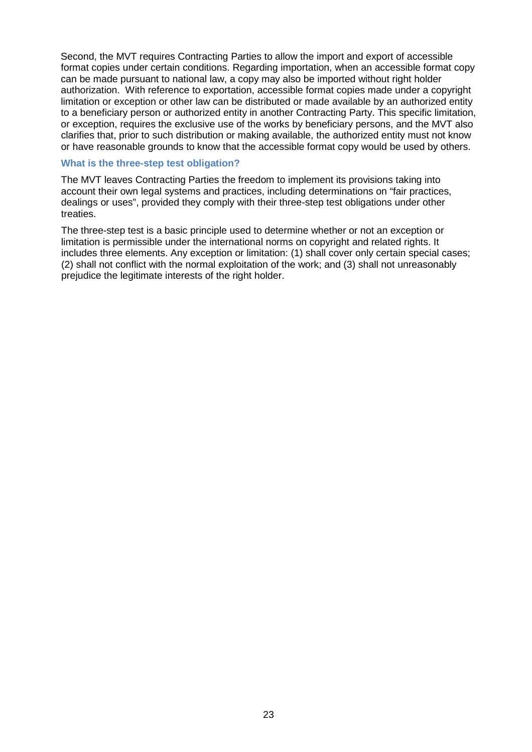Second, the MVT requires Contracting Parties to allow the import and export of accessible format copies under certain conditions. Regarding importation, when an accessible format copy can be made pursuant to national law, a copy may also be imported without right holder authorization. With reference to exportation, accessible format copies made under a copyright limitation or exception or other law can be distributed or made available by an authorized entity to a beneficiary person or authorized entity in another Contracting Party. This specific limitation, or exception, requires the exclusive use of the works by beneficiary persons, and the MVT also clarifies that, prior to such distribution or making available, the authorized entity must not know or have reasonable grounds to know that the accessible format copy would be used by others.

#### **What is the three-step test obligation?**

The MVT leaves Contracting Parties the freedom to implement its provisions taking into account their own legal systems and practices, including determinations on "fair practices, dealings or uses", provided they comply with their three-step test obligations under other treaties.

The three-step test is a basic principle used to determine whether or not an exception or limitation is permissible under the international norms on copyright and related rights. It includes three elements. Any exception or limitation: (1) shall cover only certain special cases; (2) shall not conflict with the normal exploitation of the work; and (3) shall not unreasonably prejudice the legitimate interests of the right holder.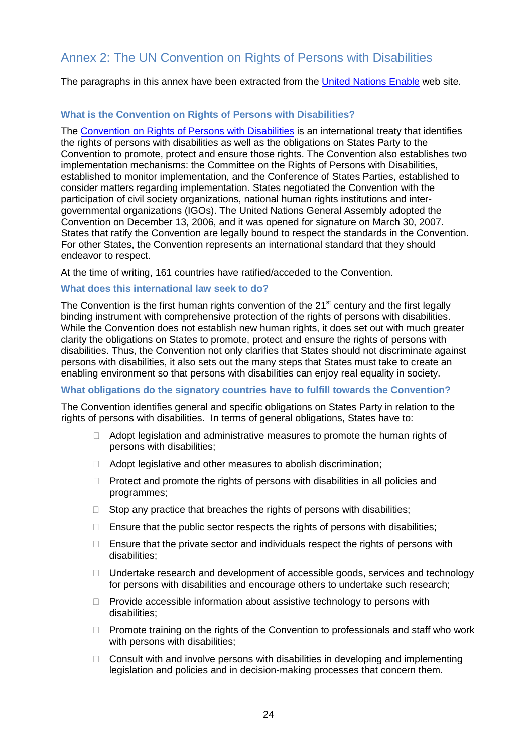## <span id="page-23-0"></span>Annex 2: The UN Convention on Rights of Persons with Disabilities

The paragraphs in this annex have been extracted from the United [Nations](http://www.un.org/disabilities/default.asp?id=151) Enable web site.

#### **What is the Convention on Rights of Persons with Disabilities?**

The [Convention](http://www.un.org/disabilities/default.asp?id=151) on Rights of Persons with Disabilities is an international treaty that identifies the rights of persons with disabilities as well as the obligations on States Party to the Convention to promote, protect and ensure those rights. The Convention also establishes two implementation mechanisms: the Committee on the Rights of Persons with Disabilities, established to monitor implementation, and the Conference of States Parties, established to consider matters regarding implementation. States negotiated the Convention with the participation of civil society organizations, national human rights institutions and intergovernmental organizations (IGOs). The United Nations General Assembly adopted the Convention on December 13, 2006, and it was opened for signature on March 30, 2007. States that ratify the Convention are legally bound to respect the standards in the Convention. For other States, the Convention represents an international standard that they should endeavor to respect.

At the time of writing, 161 countries have ratified/acceded to the Convention.

#### **What does this international law seek to do?**

The Convention is the first human rights convention of the  $21<sup>st</sup>$  century and the first legally binding instrument with comprehensive protection of the rights of persons with disabilities. While the Convention does not establish new human rights, it does set out with much greater clarity the obligations on States to promote, protect and ensure the rights of persons with disabilities. Thus, the Convention not only clarifies that States should not discriminate against persons with disabilities, it also sets out the many steps that States must take to create an enabling environment so that persons with disabilities can enjoy real equality in society.

#### **What obligations do the signatory countries have to fulfill towards the Convention?**

The Convention identifies general and specific obligations on States Party in relation to the rights of persons with disabilities. In terms of general obligations, States have to:

- $\Box$  Adopt legislation and administrative measures to promote the human rights of persons with disabilities;
- Adopt legislative and other measures to abolish discrimination;
- $\Box$  Protect and promote the rights of persons with disabilities in all policies and programmes;
- $\Box$  Stop any practice that breaches the rights of persons with disabilities;
- $\Box$  Ensure that the public sector respects the rights of persons with disabilities;
- $\Box$  Ensure that the private sector and individuals respect the rights of persons with disabilities;
- $\Box$  Undertake research and development of accessible goods, services and technology for persons with disabilities and encourage others to undertake such research;
- $\Box$  Provide accessible information about assistive technology to persons with disabilities;
- $\Box$  Promote training on the rights of the Convention to professionals and staff who work with persons with disabilities;
- $\Box$  Consult with and involve persons with disabilities in developing and implementing legislation and policies and in decision-making processes that concern them.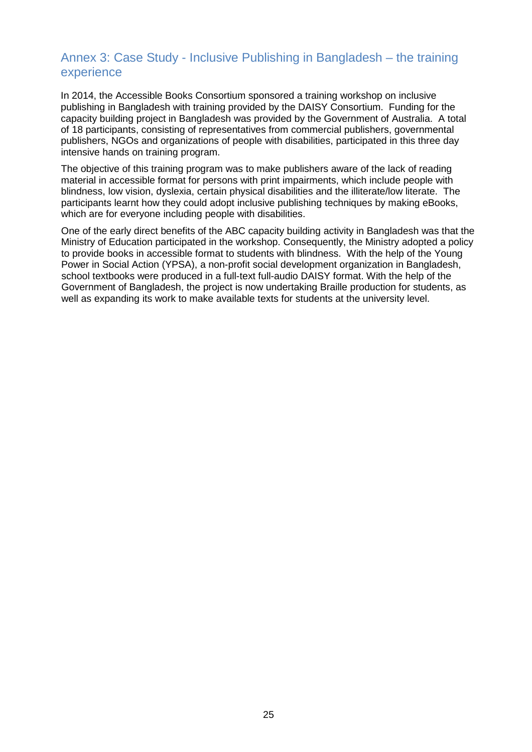### <span id="page-24-0"></span>Annex 3: Case Study - Inclusive Publishing in Bangladesh – the training experience

In 2014, the Accessible Books Consortium sponsored a training workshop on inclusive publishing in Bangladesh with training provided by the DAISY Consortium. Funding for the capacity building project in Bangladesh was provided by the Government of Australia. A total of 18 participants, consisting of representatives from commercial publishers, governmental publishers, NGOs and organizations of people with disabilities, participated in this three day intensive hands on training program.

The objective of this training program was to make publishers aware of the lack of reading material in accessible format for persons with print impairments, which include people with blindness, low vision, dyslexia, certain physical disabilities and the illiterate/low literate. The participants learnt how they could adopt inclusive publishing techniques by making eBooks, which are for everyone including people with disabilities.

One of the early direct benefits of the ABC capacity building activity in Bangladesh was that the Ministry of Education participated in the workshop. Consequently, the Ministry adopted a policy to provide books in accessible format to students with blindness. With the help of the Young Power in Social Action (YPSA), a non-profit social development organization in Bangladesh, school textbooks were produced in a full-text full-audio DAISY format. With the help of the Government of Bangladesh, the project is now undertaking Braille production for students, as well as expanding its work to make available texts for students at the university level.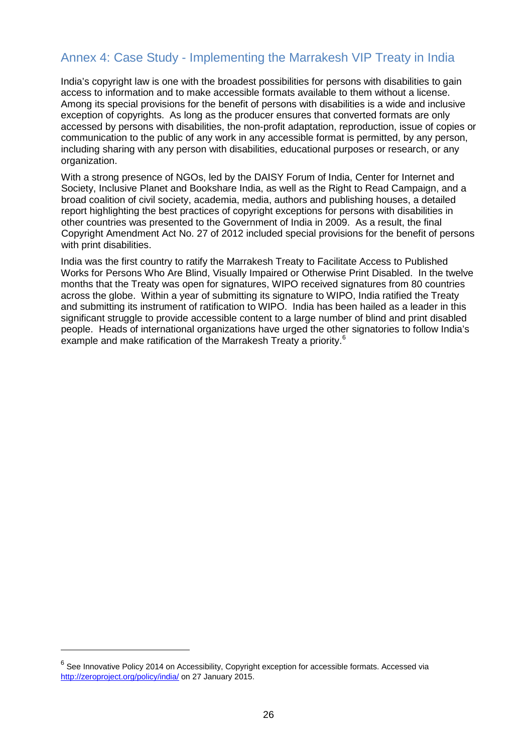# <span id="page-25-0"></span>Annex 4: Case Study - Implementing the Marrakesh VIP Treaty in India

India's copyright law is one with the broadest possibilities for persons with disabilities to gain access to information and to make accessible formats available to them without a license. Among its special provisions for the benefit of persons with disabilities is a wide and inclusive exception of copyrights. As long as the producer ensures that converted formats are only accessed by persons with disabilities, the non-profit adaptation, reproduction, issue of copies or communication to the public of any work in any accessible format is permitted, by any person, including sharing with any person with disabilities, educational purposes or research, or any organization.

With a strong presence of NGOs, led by the DAISY Forum of India, Center for Internet and Society, Inclusive Planet and Bookshare India, as well as the Right to Read Campaign, and a broad coalition of civil society, academia, media, authors and publishing houses, a detailed report highlighting the best practices of copyright exceptions for persons with disabilities in other countries was presented to the Government of India in 2009. As a result, the final Copyright Amendment Act No. 27 of 2012 included special provisions for the benefit of persons with print disabilities.

India was the first country to ratify the Marrakesh Treaty to Facilitate Access to Published Works for Persons Who Are Blind, Visually Impaired or Otherwise Print Disabled. In the twelve months that the Treaty was open for signatures, WIPO received signatures from 80 countries across the globe. Within a year of submitting its signature to WIPO, India ratified the Treaty and submitting its instrument of ratification to WIPO. India has been hailed as a leader in this significant struggle to provide accessible content to a large number of blind and print disabled people. Heads of international organizations have urged the other signatories to follow India's example and make ratification of the Marrakesh Treaty a priority.<sup>[6](#page-19-0)</sup>

 $\overline{a}$ 

<sup>&</sup>lt;sup>6</sup> See Innovative Policy 2014 on Accessibility, Copyright exception for accessible formats. Accessed via <http://zeroproject.org/policy/india/> on 27 January 2015.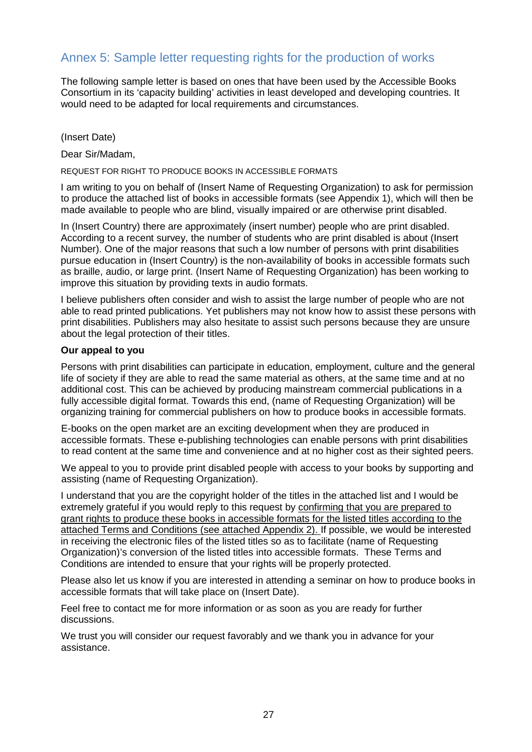## <span id="page-26-0"></span>Annex 5: Sample letter requesting rights for the production of works

The following sample letter is based on ones that have been used by the Accessible Books Consortium in its 'capacity building' activities in least developed and developing countries. It would need to be adapted for local requirements and circumstances.

(Insert Date)

Dear Sir/Madam,

REQUEST FOR RIGHT TO PRODUCE BOOKS IN ACCESSIBLE FORMATS

I am writing to you on behalf of (Insert Name of Requesting Organization) to ask for permission to produce the attached list of books in accessible formats (see Appendix 1), which will then be made available to people who are blind, visually impaired or are otherwise print disabled.

In (Insert Country) there are approximately (insert number) people who are print disabled. According to a recent survey, the number of students who are print disabled is about (Insert Number). One of the major reasons that such a low number of persons with print disabilities pursue education in (Insert Country) is the non-availability of books in accessible formats such as braille, audio, or large print. (Insert Name of Requesting Organization) has been working to improve this situation by providing texts in audio formats.

I believe publishers often consider and wish to assist the large number of people who are not able to read printed publications. Yet publishers may not know how to assist these persons with print disabilities. Publishers may also hesitate to assist such persons because they are unsure about the legal protection of their titles.

#### **Our appeal to you**

Persons with print disabilities can participate in education, employment, culture and the general life of society if they are able to read the same material as others, at the same time and at no additional cost. This can be achieved by producing mainstream commercial publications in a fully accessible digital format. Towards this end, (name of Requesting Organization) will be organizing training for commercial publishers on how to produce books in accessible formats.

E-books on the open market are an exciting development when they are produced in accessible formats. These e-publishing technologies can enable persons with print disabilities to read content at the same time and convenience and at no higher cost as their sighted peers.

We appeal to you to provide print disabled people with access to your books by supporting and assisting (name of Requesting Organization).

I understand that you are the copyright holder of the titles in the attached list and I would be extremely grateful if you would reply to this request by confirming that you are prepared to grant rights to produce these books in accessible formats for the listed titles according to the attached Terms and Conditions (see attached Appendix 2). If possible, we would be interested in receiving the electronic files of the listed titles so as to facilitate (name of Requesting Organization)'s conversion of the listed titles into accessible formats. These Terms and Conditions are intended to ensure that your rights will be properly protected.

Please also let us know if you are interested in attending a seminar on how to produce books in accessible formats that will take place on (Insert Date).

Feel free to contact me for more information or as soon as you are ready for further discussions.

We trust you will consider our request favorably and we thank you in advance for your assistance.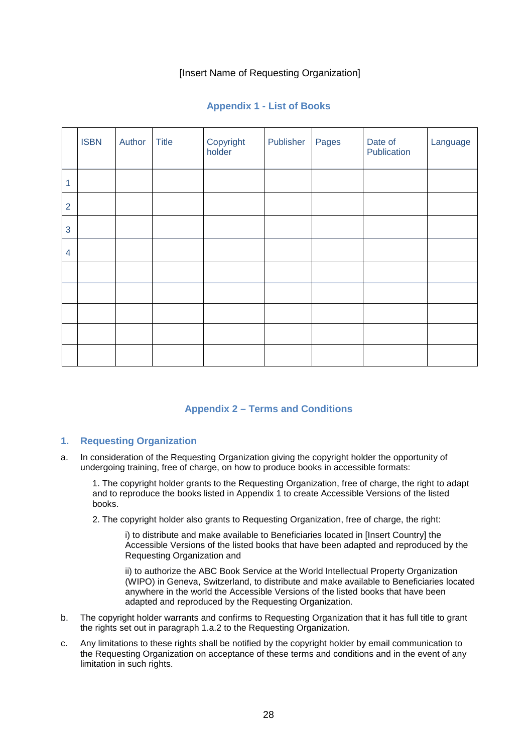#### [Insert Name of Requesting Organization]

|                | <b>ISBN</b> | Author | <b>Title</b> | Copyright<br>holder | Publisher | Pages | Date of<br>Publication | Language |
|----------------|-------------|--------|--------------|---------------------|-----------|-------|------------------------|----------|
| 1              |             |        |              |                     |           |       |                        |          |
| $\overline{2}$ |             |        |              |                     |           |       |                        |          |
| 3              |             |        |              |                     |           |       |                        |          |
| $\overline{4}$ |             |        |              |                     |           |       |                        |          |
|                |             |        |              |                     |           |       |                        |          |
|                |             |        |              |                     |           |       |                        |          |
|                |             |        |              |                     |           |       |                        |          |
|                |             |        |              |                     |           |       |                        |          |
|                |             |        |              |                     |           |       |                        |          |

#### **Appendix 1 - List of Books**

#### **Appendix 2 – Terms and Conditions**

#### **1. Requesting Organization**

a. In consideration of the Requesting Organization giving the copyright holder the opportunity of undergoing training, free of charge, on how to produce books in accessible formats:

1. The copyright holder grants to the Requesting Organization, free of charge, the right to adapt and to reproduce the books listed in Appendix 1 to create Accessible Versions of the listed books.

2. The copyright holder also grants to Requesting Organization, free of charge, the right:

i) to distribute and make available to Beneficiaries located in [Insert Country] the Accessible Versions of the listed books that have been adapted and reproduced by the Requesting Organization and

ii) to authorize the ABC Book Service at the World Intellectual Property Organization (WIPO) in Geneva, Switzerland, to distribute and make available to Beneficiaries located anywhere in the world the Accessible Versions of the listed books that have been adapted and reproduced by the Requesting Organization.

- b. The copyright holder warrants and confirms to Requesting Organization that it has full title to grant the rights set out in paragraph 1.a.2 to the Requesting Organization.
- c. Any limitations to these rights shall be notified by the copyright holder by email communication to the Requesting Organization on acceptance of these terms and conditions and in the event of any limitation in such rights.